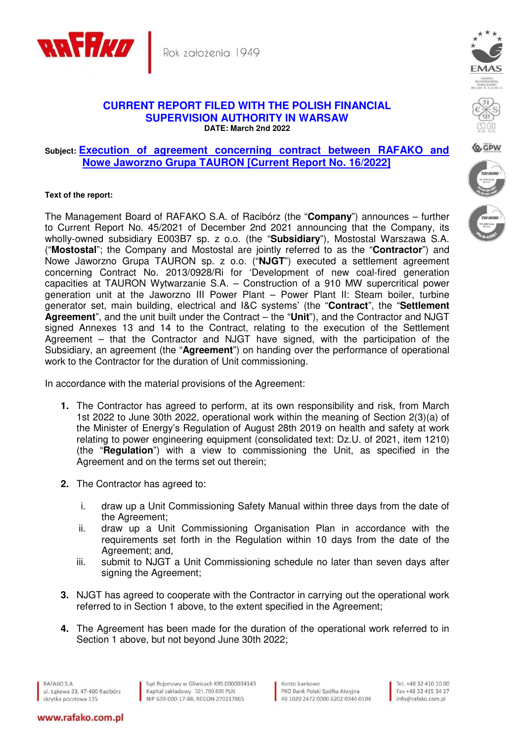

## **CURRENT REPORT FILED WITH THE POLISH FINANCIAL SUPERVISION AUTHORITY IN WARSAW DATE: March 2nd 2022**

## **Subject: Execution of agreement concerning contract between RAFAKO and Nowe Jaworzno Grupa TAURON [Current Report No. 16/2022]**

## **Text of the report:**

The Management Board of RAFAKO S.A. of Racibórz (the "**Company**") announces – further to Current Report No. 45/2021 of December 2nd 2021 announcing that the Company, its wholly-owned subsidiary E003B7 sp. z o.o. (the "**Subsidiary**"), Mostostal Warszawa S.A. ("**Mostostal**"; the Company and Mostostal are jointly referred to as the "**Contractor**") and Nowe Jaworzno Grupa TAURON sp. z o.o. ("**NJGT**") executed a settlement agreement concerning Contract No. 2013/0928/Ri for 'Development of new coal-fired generation capacities at TAURON Wytwarzanie S.A. – Construction of a 910 MW supercritical power generation unit at the Jaworzno III Power Plant – Power Plant II: Steam boiler, turbine generator set, main building, electrical and I&C systems' (the "**Contract**", the "**Settlement Agreement**", and the unit built under the Contract – the "**Unit**"), and the Contractor and NJGT signed Annexes 13 and 14 to the Contract, relating to the execution of the Settlement Agreement – that the Contractor and NJGT have signed, with the participation of the Subsidiary, an agreement (the "**Agreement**") on handing over the performance of operational work to the Contractor for the duration of Unit commissioning.

In accordance with the material provisions of the Agreement:

- **1.** The Contractor has agreed to perform, at its own responsibility and risk, from March 1st 2022 to June 30th 2022, operational work within the meaning of Section 2(3)(a) of the Minister of Energy's Regulation of August 28th 2019 on health and safety at work relating to power engineering equipment (consolidated text: Dz.U. of 2021, item 1210) (the "**Regulation**") with a view to commissioning the Unit, as specified in the Agreement and on the terms set out therein;
- **2.** The Contractor has agreed to:
	- i. draw up a Unit Commissioning Safety Manual within three days from the date of the Agreement;
	- ii. draw up a Unit Commissioning Organisation Plan in accordance with the requirements set forth in the Regulation within 10 days from the date of the Agreement; and,
	- iii. submit to NJGT a Unit Commissioning schedule no later than seven days after signing the Agreement;
- **3.** NJGT has agreed to cooperate with the Contractor in carrying out the operational work referred to in Section 1 above, to the extent specified in the Agreement;
- **4.** The Agreement has been made for the duration of the operational work referred to in Section 1 above, but not beyond June 30th 2022;

RAFAKO S.A. ul. Łąkowa 33, 47-400 Racibórz skrytka pocztowa 135